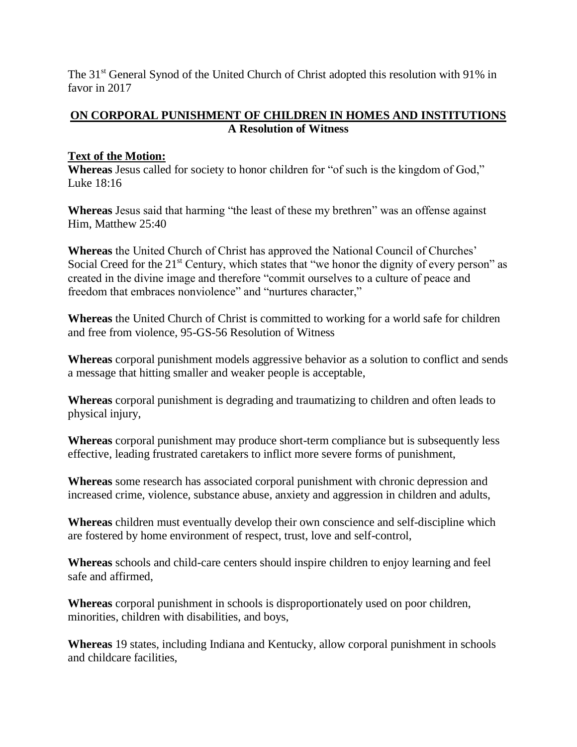The 31<sup>st</sup> General Synod of the United Church of Christ adopted this resolution with 91% in favor in 2017

## **ON CORPORAL PUNISHMENT OF CHILDREN IN HOMES AND INSTITUTIONS A Resolution of Witness**

## **Text of the Motion:**

**Whereas** Jesus called for society to honor children for "of such is the kingdom of God," Luke 18:16

**Whereas** Jesus said that harming "the least of these my brethren" was an offense against Him, Matthew 25:40

**Whereas** the United Church of Christ has approved the National Council of Churches' Social Creed for the 21<sup>st</sup> Century, which states that "we honor the dignity of every person" as created in the divine image and therefore "commit ourselves to a culture of peace and freedom that embraces nonviolence" and "nurtures character,"

**Whereas** the United Church of Christ is committed to working for a world safe for children and free from violence, 95-GS-56 Resolution of Witness

**Whereas** corporal punishment models aggressive behavior as a solution to conflict and sends a message that hitting smaller and weaker people is acceptable,

**Whereas** corporal punishment is degrading and traumatizing to children and often leads to physical injury,

**Whereas** corporal punishment may produce short-term compliance but is subsequently less effective, leading frustrated caretakers to inflict more severe forms of punishment,

**Whereas** some research has associated corporal punishment with chronic depression and increased crime, violence, substance abuse, anxiety and aggression in children and adults,

**Whereas** children must eventually develop their own conscience and self-discipline which are fostered by home environment of respect, trust, love and self-control,

**Whereas** schools and child-care centers should inspire children to enjoy learning and feel safe and affirmed,

**Whereas** corporal punishment in schools is disproportionately used on poor children, minorities, children with disabilities, and boys,

**Whereas** 19 states, including Indiana and Kentucky, allow corporal punishment in schools and childcare facilities,